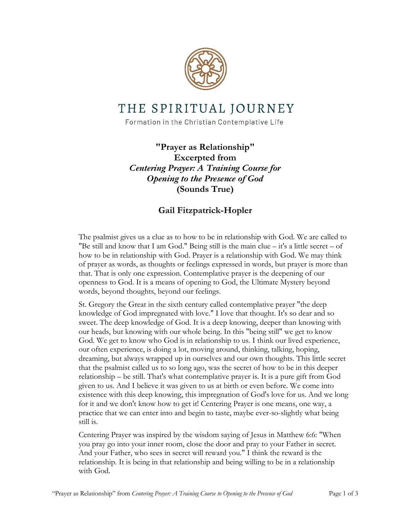

## THE SPIRITUAL JOURNEY

Formation in the Christian Contemplative Life

**"Prayer as Relationship" Excerpted from** *Centering Prayer: A Training Course for Opening to the Presence of God* **(Sounds True)**

## **Gail Fitzpatrick-Hopler**

The psalmist gives us a clue as to how to be in relationship with God. We are called to "Be still and know that I am God." Being still is the main clue  $-$  it's a little secret  $-$  of how to be in relationship with God. Prayer is a relationship with God. We may think of prayer as words, as thoughts or feelings expressed in words, but prayer is more than that. That is only one expression. Contemplative prayer is the deepening of our openness to God. It is a means of opening to God, the Ultimate Mystery beyond words, beyond thoughts, beyond our feelings.

St. Gregory the Great in the sixth century called contemplative prayer "the deep knowledge of God impregnated with love." I love that thought. It's so dear and so sweet. The deep knowledge of God. It is a deep knowing, deeper than knowing with our heads, but knowing with our whole being. In this "being still" we get to know God. We get to know who God is in relationship to us. I think our lived experience, our often experience, is doing a lot, moving around, thinking, talking, hoping, dreaming, but always wrapped up in ourselves and our own thoughts. This little secret that the psalmist called us to so long ago, was the secret of how to be in this deeper relationship – be still. That's what contemplative prayer is. It is a pure gift from God given to us. And I believe it was given to us at birth or even before. We come into existence with this deep knowing, this impregnation of God's love for us. And we long for it and we don't know how to get it! Centering Prayer is one means, one way, a practice that we can enter into and begin to taste, maybe ever-so-slightly what being still is.

Centering Prayer was inspired by the wisdom saying of Jesus in Matthew 6:6: "When you pray go into your inner room, close the door and pray to your Father in secret. And your Father, who sees in secret will reward you." I think the reward is the relationship. It is being in that relationship and being willing to be in a relationship with God.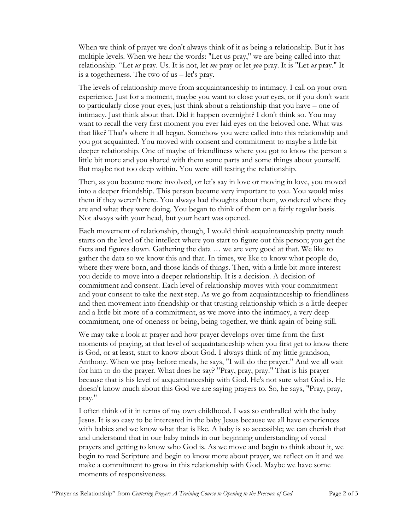When we think of prayer we don't always think of it as being a relationship. But it has multiple levels. When we hear the words: "Let us pray," we are being called into that relationship. "Let *us* pray. Us. It is not, let *me* pray or let *you* pray. It is "Let *us* pray." It is a togetherness. The two of us – let's pray.

The levels of relationship move from acquaintanceship to intimacy. I call on your own experience. Just for a moment, maybe you want to close your eyes, or if you don't want to particularly close your eyes, just think about a relationship that you have – one of intimacy. Just think about that. Did it happen overnight? I don't think so. You may want to recall the very first moment you ever laid eyes on the beloved one. What was that like? That's where it all began. Somehow you were called into this relationship and you got acquainted. You moved with consent and commitment to maybe a little bit deeper relationship. One of maybe of friendliness where you got to know the person a little bit more and you shared with them some parts and some things about yourself. But maybe not too deep within. You were still testing the relationship.

Then, as you became more involved, or let's say in love or moving in love, you moved into a deeper friendship. This person became very important to you. You would miss them if they weren't here. You always had thoughts about them, wondered where they are and what they were doing. You began to think of them on a fairly regular basis. Not always with your head, but your heart was opened.

Each movement of relationship, though, I would think acquaintanceship pretty much starts on the level of the intellect where you start to figure out this person; you get the facts and figures down. Gathering the data … we are very good at that. We like to gather the data so we know this and that. In times, we like to know what people do, where they were born, and those kinds of things. Then, with a little bit more interest you decide to move into a deeper relationship. It is a decision. A decision of commitment and consent. Each level of relationship moves with your commitment and your consent to take the next step. As we go from acquaintanceship to friendliness and then movement into friendship or that trusting relationship which is a little deeper and a little bit more of a commitment, as we move into the intimacy, a very deep commitment, one of oneness or being, being together, we think again of being still.

We may take a look at prayer and how prayer develops over time from the first moments of praying, at that level of acquaintanceship when you first get to know there is God, or at least, start to know about God. I always think of my little grandson, Anthony. When we pray before meals, he says, "I will do the prayer." And we all wait for him to do the prayer. What does he say? "Pray, pray, pray." That is his prayer because that is his level of acquaintanceship with God. He's not sure what God is. He doesn't know much about this God we are saying prayers to. So, he says, "Pray, pray, pray."

I often think of it in terms of my own childhood. I was so enthralled with the baby Jesus. It is so easy to be interested in the baby Jesus because we all have experiences with babies and we know what that is like. A baby is so accessible; we can cherish that and understand that in our baby minds in our beginning understanding of vocal prayers and getting to know who God is. As we move and begin to think about it, we begin to read Scripture and begin to know more about prayer, we reflect on it and we make a commitment to grow in this relationship with God. Maybe we have some moments of responsiveness.